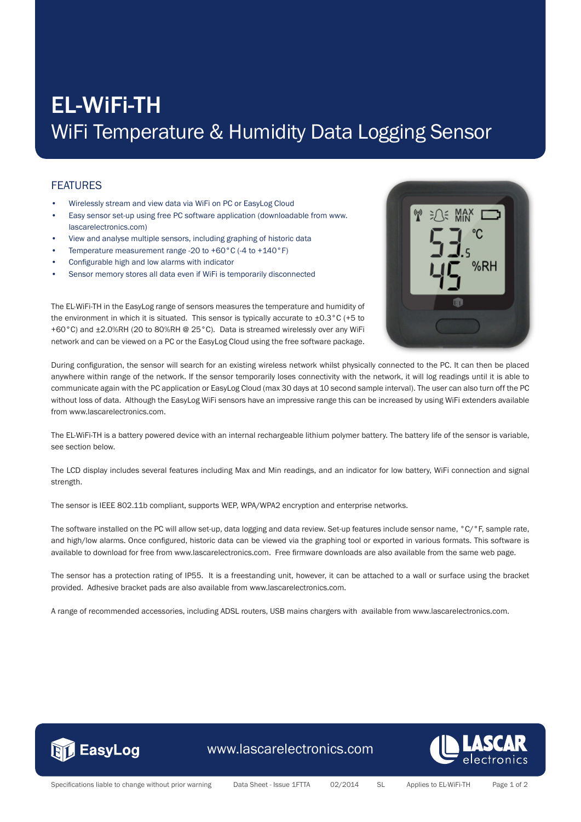## EL-WiFi-TH WiFi Temperature & Humidity Data Logging Sensor

## **FEATURES**

- Wirelessly stream and view data via WiFi on PC or EasyLog Cloud
- Easy sensor set-up using free PC software application (downloadable from www. lascarelectronics.com)
- View and analyse multiple sensors, including graphing of historic data
- Temperature measurement range -20 to +60°C (-4 to +140°F)
- Configurable high and low alarms with indicator
- Sensor memory stores all data even if WiFi is temporarily disconnected



The EL-WiFi-TH in the EasyLog range of sensors measures the temperature and humidity of the environment in which it is situated. This sensor is typically accurate to  $\pm 0.3^{\circ}$ C (+5 to +60°C) and ±2.0%RH (20 to 80%RH @ 25°C). Data is streamed wirelessly over any WiFi network and can be viewed on a PC or the EasyLog Cloud using the free software package.

During configuration, the sensor will search for an existing wireless network whilst physically connected to the PC. It can then be placed anywhere within range of the network. If the sensor temporarily loses connectivity with the network, it will log readings until it is able to communicate again with the PC application or EasyLog Cloud (max 30 days at 10 second sample interval). The user can also turn off the PC without loss of data. Although the EasyLog WiFi sensors have an impressive range this can be increased by using WiFi extenders available from www.lascarelectronics.com.

The EL-WiFi-TH is a battery powered device with an internal rechargeable lithium polymer battery. The battery life of the sensor is variable, see section below.

The LCD display includes several features including Max and Min readings, and an indicator for low battery, WiFi connection and signal strength.

The sensor is IEEE 802.11b compliant, supports WEP, WPA/WPA2 encryption and enterprise networks.

The software installed on the PC will allow set-up, data logging and data review. Set-up features include sensor name, °C/°F, sample rate, and high/low alarms. Once configured, historic data can be viewed via the graphing tool or exported in various formats. This software is available to download for free from www.lascarelectronics.com. Free firmware downloads are also available from the same web page.

The sensor has a protection rating of IP55. It is a freestanding unit, however, it can be attached to a wall or surface using the bracket provided. Adhesive bracket pads are also available from www.lascarelectronics.com.

A range of recommended accessories, including ADSL routers, USB mains chargers with available from www.lascarelectronics.com.



www.lascarelectronics.com